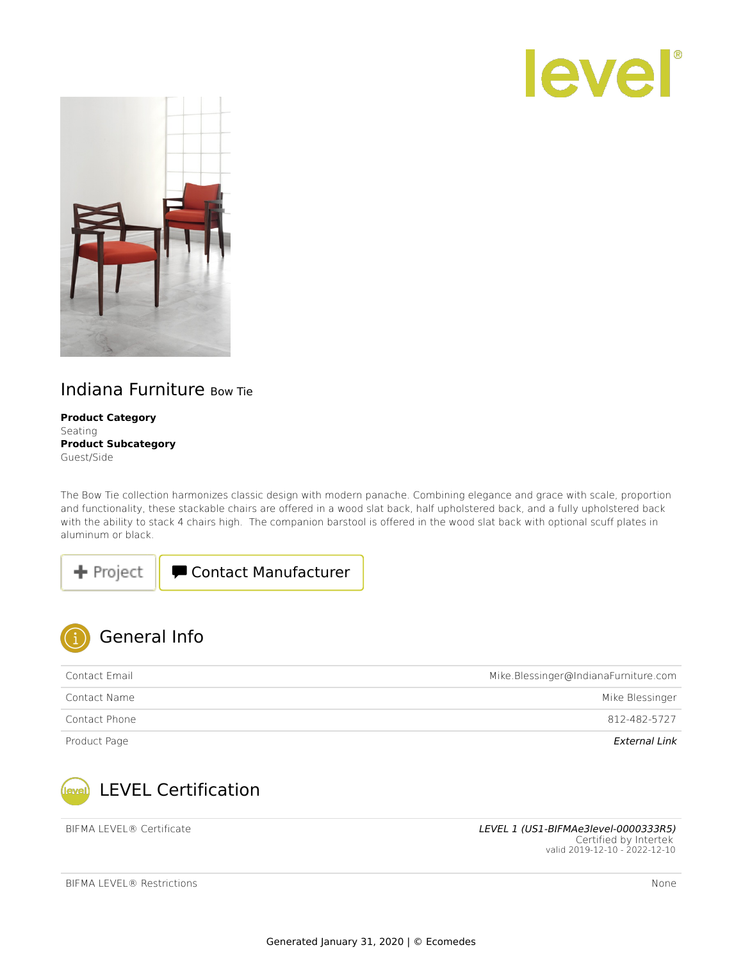



## Indiana Furniture Bow Tie

**Product Category** Seating **Product Subcategory** Guest/Side

The Bow Tie collection harmonizes classic design with modern panache. Combining elegance and grace with scale, proportion and functionality, these stackable chairs are offered in a wood slat back, half upholstered back, and a fully upholstered back with the ability to stack 4 chairs high. The companion barstool is offered in the wood slat back with optional scuff plates in aluminum or black.





| Contact Email | Mike.Blessinger@IndianaFurniture.com |
|---------------|--------------------------------------|
| Contact Name  | Mike Blessinger                      |
| Contact Phone | 812-482-5727                         |
| Product Page  | External Link                        |



BIFMA LEVEL® Certificate Level and the LEVEL 1 [\(US1-BIFMAe3level-0000333R5\)](https://sustainabilitydirectory.intertek.com/images/certificates/f8646273-1387-4c5e-a339-f57f6b99b4f1/US1-BIFMAe3level-0000333R5.pdf) Certified by Intertek valid 2019-12-10 - 2022-12-10

| BIFMA LEVEL® Restrictions | None |
|---------------------------|------|
|---------------------------|------|